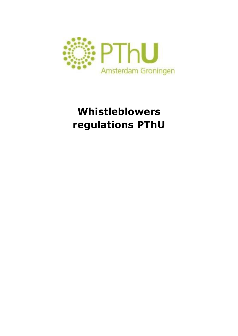

# **Whistleblowers regulations PThU**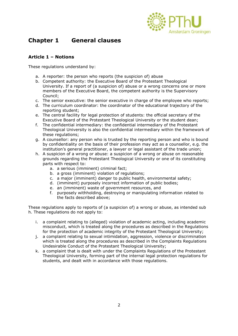

# **Chapter 1 General clauses**

#### **Article 1 – Notions**

These regulations understand by:

- a. A reporter: the person who reports (the suspicion of) abuse
- b. Competent authority: the Executive Board of the Protestant Theological University. If a report of (a suspicion of) abuse or a wrong concerns one or more members of the Executive Board, the competent authority is the Supervisory Council;
- c. The senior executive: the senior executive in charge of the employee who reports;
- d. The curriculum coordinator: the coordinator of the educational trajectory of the reporting student;
- e. The central facility for legal protection of students: the official secretary of the Executive Board of the Protestant Theological University or the student dean;
- f. The confidential intermediary: the confidential intermediary of the Protestant Theological University is also the confidential intermediary within the framework of these regulations;
- g. A counsellor: any person who is trusted by the reporting person and who is bound by confidentiality on the basis of their profession may act as a counsellor, e.g. the institution's general practitioner, a lawyer or legal assistant of the trade union;
- h. A suspicion of a wrong or abuse: a suspicion of a wrong or abuse on reasonable grounds regarding the Protestant Theological University or one of its constituting parts with respect to:
	- a. a serious (imminent) criminal fact;
	- b. a gross (imminent) violation of regulations;
	- c. a major (imminent) danger to public health, environmental safety;
	- d. (imminent) purposely incorrect information of public bodies;
	- e. an (imminent) waste of government resources, and
	- f. purposely withholding, destroying or manipulating information related to the facts described above;

These regulations apply to reports of (a suspicion of) a wrong or abuse, as intended sub h. These regulations do not apply to:

- i. a complaint relating to (alleged) violation of academic acting, including academic misconduct, which is treated along the procedures as described in the Regulations for the protection of academic integrity of the Protestant Theological University;
- j. a complaint relating to sexual intimidation, aggression, violence or discrimination which is treated along the procedures as described in the Complaints Regulations Undesirable Conduct of the Protestant Theological University;
- k. a complaint that is dealt with under the Complaints Regulations of the Protestant Theological University, forming part of the internal legal protection regulations for students, and dealt with in accordance with those regulations.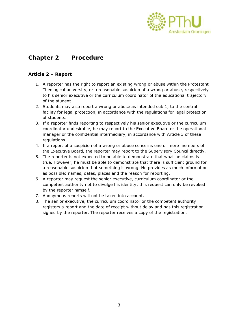

# **Chapter 2 Procedure**

## **Article 2 – Report**

- 1. A reporter has the right to report an existing wrong or abuse within the Protestant Theological university, or a reasonable suspicion of a wrong or abuse, respectively to his senior executive or the curriculum coordinator of the educational trajectory of the student.
- 2. Students may also report a wrong or abuse as intended sub 1, to the central facility for legal protection, in accordance with the regulations for legal protection of students.
- 3. If a reporter finds reporting to respectively his senior executive or the curriculum coordinator undesirable, he may report to the Executive Board or the operational manager or the confidential intermediary, in accordance with Article 3 of these regulations.
- 4. If a report of a suspicion of a wrong or abuse concerns one or more members of the Executive Board, the reporter may report to the Supervisory Council directly.
- 5. The reporter is not expected to be able to demonstrate that what he claims is true. However, he must be able to demonstrate that there is sufficient ground for a reasonable suspicion that something is wrong. He provides as much information as possible: names, dates, places and the reason for reporting.
- 6. A reporter may request the senior executive, curriculum coordinator or the competent authority not to divulge his identity; this request can only be revoked by the reporter himself.
- 7. Anonymous reports will not be taken into account.
- 8. The senior executive, the curriculum coordinator or the competent authority registers a report and the date of receipt without delay and has this registration signed by the reporter. The reporter receives a copy of the registration.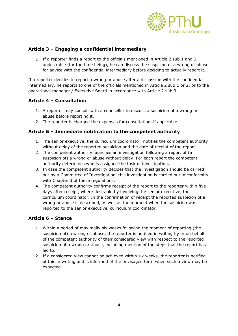

#### **Article 3 – Engaging a confidential intermediary**

1. If a reporter finds a report to the officials mentioned in Article 2 sub 1 and 2 undesirable (for the time being), he can discuss the suspicion of a wrong or abuse for advice with the confidential intermediary before deciding to actually report it.

If a reporter decides to report a wrong or abuse after a discussion with the confidential intermediary, he reports to one of the officials mentioned in Article 2 sub 1 or 2, or to the operational manager / Executive Board in accordance with Article 2 sub 3.

#### **Article 4 – Consultation**

- 1. A reporter may consult with a counsellor to discuss a suspicion of a wrong or abuse before reporting it.
- 2. The reporter is charged the expenses for consultation, if applicable.

#### **Article 5 – Immediate notification to the competent authority**

- 1. The senior executive, the curriculum coordinator, notifies the competent authority without delay of the reported suspicion and the date of receipt of the report.
- 2. The competent authority launches an investigation following a report of (a suspicion of) a wrong or abuse without delay. For each report the competent authority determines who is assigned the task of investigation.
- 3. In case the competent authority decides that the investigation should be carried out by a Committee of Investigation, this investigation is carried out in conformity with Chapter 3 of these regulations.
- 4. The competent authority confirms receipt of the report to the reporter within five days after receipt, where desirable by involving the senior executive, the curriculum coordinator. In the confirmation of receipt the reported suspicion of a wrong or abuse is described, as well as the moment when the suspicion was reported to the senior executive, curriculum coordinator.

#### **Article 6 – Stance**

- 1. Within a period of maximally six weeks following the moment of reporting (the suspicion of) a wrong or abuse, the reporter is notified in writing by or on behalf of the competent authority of their considered view with respect to the reported suspicion of a wrong or abuse, including mention of the steps that the report has led to.
- 2. If a considered view cannot be achieved within six weeks, the reporter is notified of this in writing and is informed of the envisaged term when such a view may be expected.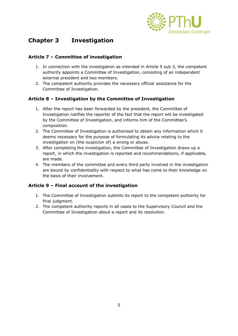

# **Chapter 3 Investigation**

## **Article 7 – Committee of investigation**

- 1. In connection with the investigation as intended in Article 5 sub 3, the competent authority appoints a Committee of Investigation, consisting of an independent external president and two members.
- 2. The competent authority provides the necessary official assistance for the Committee of Investigation.

#### **Article 8 – Investigation by the Committee of Investigation**

- 1. After the report has been forwarded by the president, the Committee of Investigation notifies the reporter of the fact that the report will be investigated by the Committee of Investigation, and informs him of the Committee's composition.
- 2. The Committee of Investigation is authorised to obtain any information which it deems necessary for the purpose of formulating its advice relating to the investigation on (the suspicion of) a wrong or abuse.
- 3. After completing the investigation, the Committee of Investigation draws up a report, in which the investigation is reported and recommendations, if applicable, are made.
- 4. The members of the committee and every third party involved in the investigation are bound by confidentiality with respect to what has come to their knowledge on the basis of their involvement.

#### **Article 9 – Final account of the investigation**

- 1. The Committee of Investigation submits its report to the competent authority for final judgment.
- 2. The competent authority reports in all cases to the Supervisory Council and the Committee of Investigation about a report and its resolution.